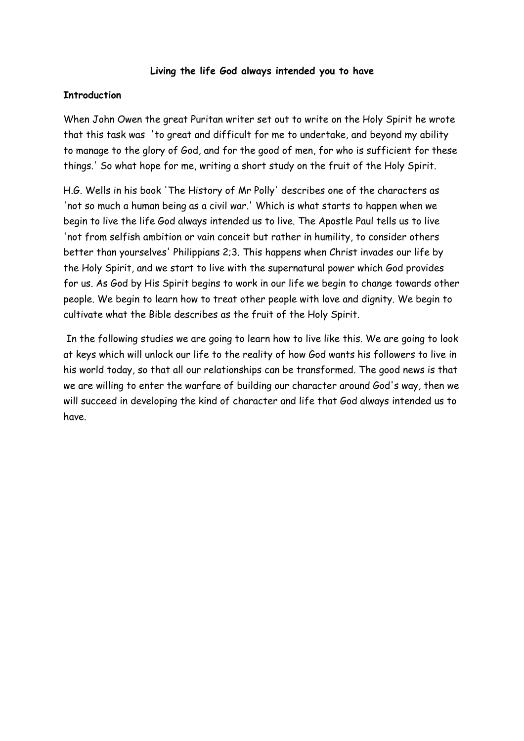### **Living the life God always intended you to have**

### **Introduction**

When John Owen the great Puritan writer set out to write on the Holy Spirit he wrote that this task was 'to great and difficult for me to undertake, and beyond my ability to manage to the glory of God, and for the good of men, for who is sufficient for these things.' So what hope for me, writing a short study on the fruit of the Holy Spirit.

H.G. Wells in his book 'The History of Mr Polly' describes one of the characters as 'not so much a human being as a civil war.' Which is what starts to happen when we begin to live the life God always intended us to live. The Apostle Paul tells us to live 'not from selfish ambition or vain conceit but rather in humility, to consider others better than yourselves' Philippians 2;3. This happens when Christ invades our life by the Holy Spirit, and we start to live with the supernatural power which God provides for us. As God by His Spirit begins to work in our life we begin to change towards other people. We begin to learn how to treat other people with love and dignity. We begin to cultivate what the Bible describes as the fruit of the Holy Spirit.

 In the following studies we are going to learn how to live like this. We are going to look at keys which will unlock our life to the reality of how God wants his followers to live in his world today, so that all our relationships can be transformed. The good news is that we are willing to enter the warfare of building our character around God's way, then we will succeed in developing the kind of character and life that God always intended us to have.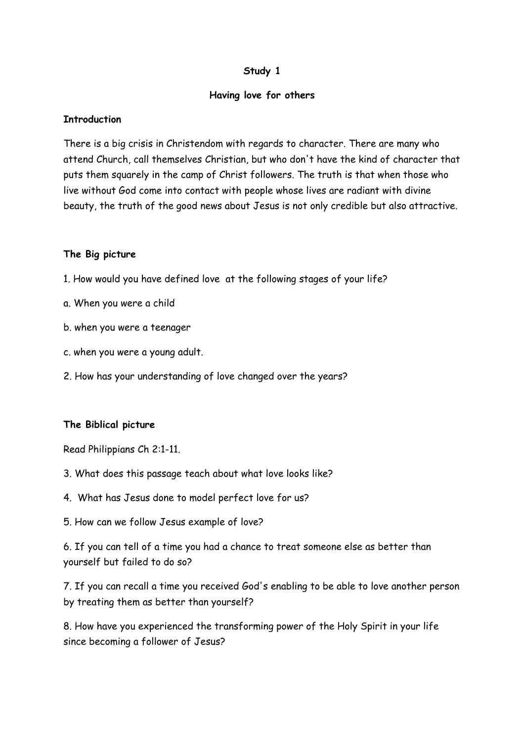### **Having love for others**

#### **Introduction**

There is a big crisis in Christendom with regards to character. There are many who attend Church, call themselves Christian, but who don't have the kind of character that puts them squarely in the camp of Christ followers. The truth is that when those who live without God come into contact with people whose lives are radiant with divine beauty, the truth of the good news about Jesus is not only credible but also attractive.

#### **The Big picture**

- 1. How would you have defined love at the following stages of your life?
- a. When you were a child
- b. when you were a teenager
- c. when you were a young adult.
- 2. How has your understanding of love changed over the years?

### **The Biblical picture**

Read Philippians Ch 2:1-11.

- 3. What does this passage teach about what love looks like?
- 4. What has Jesus done to model perfect love for us?
- 5. How can we follow Jesus example of love?

6. If you can tell of a time you had a chance to treat someone else as better than yourself but failed to do so?

7. If you can recall a time you received God's enabling to be able to love another person by treating them as better than yourself?

8. How have you experienced the transforming power of the Holy Spirit in your life since becoming a follower of Jesus?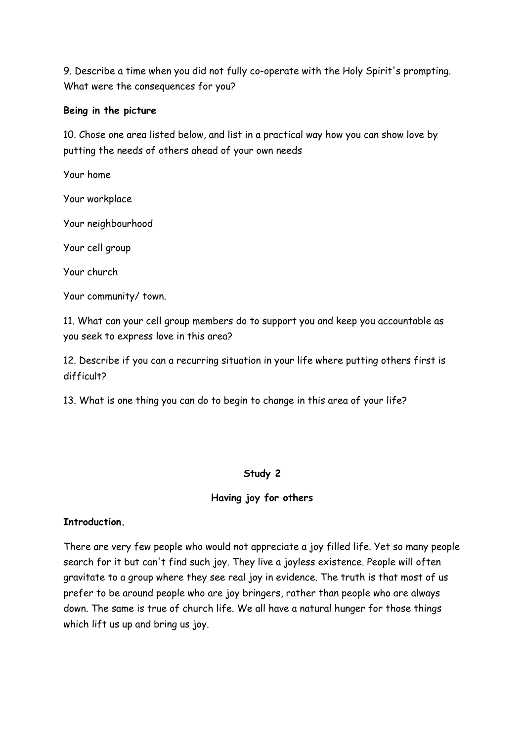9. Describe a time when you did not fully co-operate with the Holy Spirit's prompting. What were the consequences for you?

# **Being in the picture**

10. Chose one area listed below, and list in a practical way how you can show love by putting the needs of others ahead of your own needs

Your home

Your workplace

Your neighbourhood

Your cell group

Your church

Your community/ town.

11. What can your cell group members do to support you and keep you accountable as you seek to express love in this area?

12. Describe if you can a recurring situation in your life where putting others first is difficult?

13. What is one thing you can do to begin to change in this area of your life?

# **Study 2**

# **Having joy for others**

# **Introduction.**

There are very few people who would not appreciate a joy filled life. Yet so many people search for it but can't find such joy. They live a joyless existence. People will often gravitate to a group where they see real joy in evidence. The truth is that most of us prefer to be around people who are joy bringers, rather than people who are always down. The same is true of church life. We all have a natural hunger for those things which lift us up and bring us joy.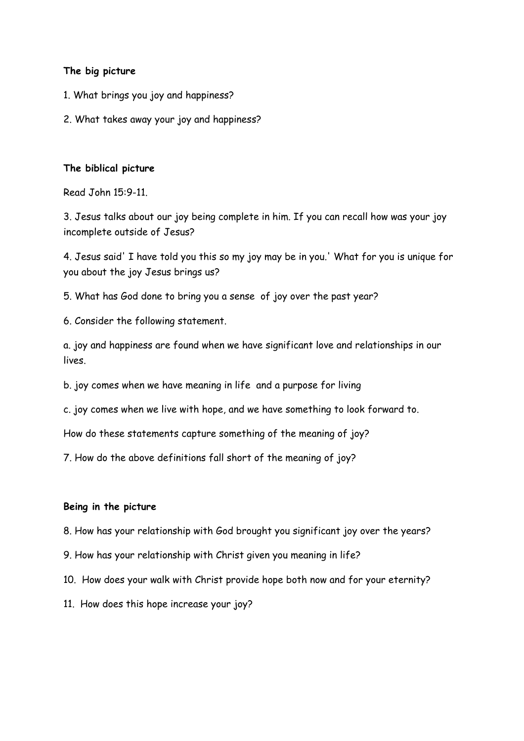#### **The big picture**

- 1. What brings you joy and happiness?
- 2. What takes away your joy and happiness?

#### **The biblical picture**

Read John 15:9-11.

3. Jesus talks about our joy being complete in him. If you can recall how was your joy incomplete outside of Jesus?

4. Jesus said' I have told you this so my joy may be in you.' What for you is unique for you about the joy Jesus brings us?

5. What has God done to bring you a sense of joy over the past year?

6. Consider the following statement.

a. joy and happiness are found when we have significant love and relationships in our lives.

b. joy comes when we have meaning in life and a purpose for living

c. joy comes when we live with hope, and we have something to look forward to.

How do these statements capture something of the meaning of joy?

7. How do the above definitions fall short of the meaning of joy?

#### **Being in the picture**

8. How has your relationship with God brought you significant joy over the years?

- 9. How has your relationship with Christ given you meaning in life?
- 10. How does your walk with Christ provide hope both now and for your eternity?
- 11. How does this hope increase your joy?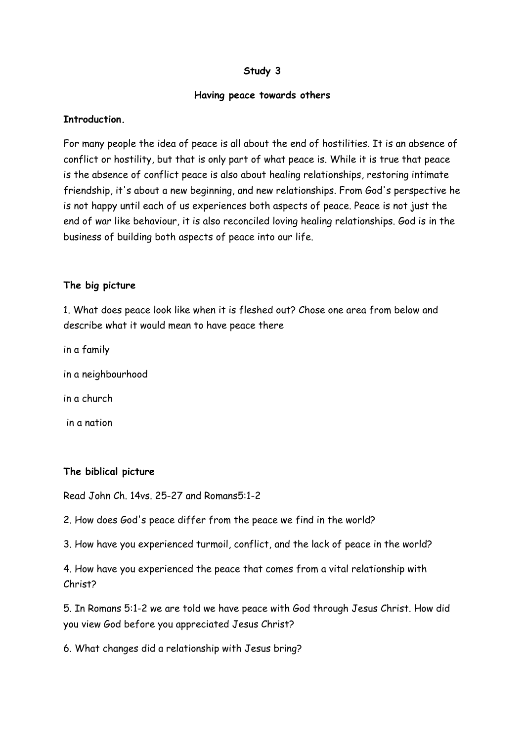#### **Having peace towards others**

### **Introduction.**

For many people the idea of peace is all about the end of hostilities. It is an absence of conflict or hostility, but that is only part of what peace is. While it is true that peace is the absence of conflict peace is also about healing relationships, restoring intimate friendship, it's about a new beginning, and new relationships. From God's perspective he is not happy until each of us experiences both aspects of peace. Peace is not just the end of war like behaviour, it is also reconciled loving healing relationships. God is in the business of building both aspects of peace into our life.

### **The big picture**

1. What does peace look like when it is fleshed out? Chose one area from below and describe what it would mean to have peace there

- in a family
- in a neighbourhood
- in a church
- in a nation

### **The biblical picture**

Read John Ch. 14vs. 25-27 and Romans5:1-2

2. How does God's peace differ from the peace we find in the world?

3. How have you experienced turmoil, conflict, and the lack of peace in the world?

4. How have you experienced the peace that comes from a vital relationship with Christ?

5. In Romans 5:1-2 we are told we have peace with God through Jesus Christ. How did you view God before you appreciated Jesus Christ?

6. What changes did a relationship with Jesus bring?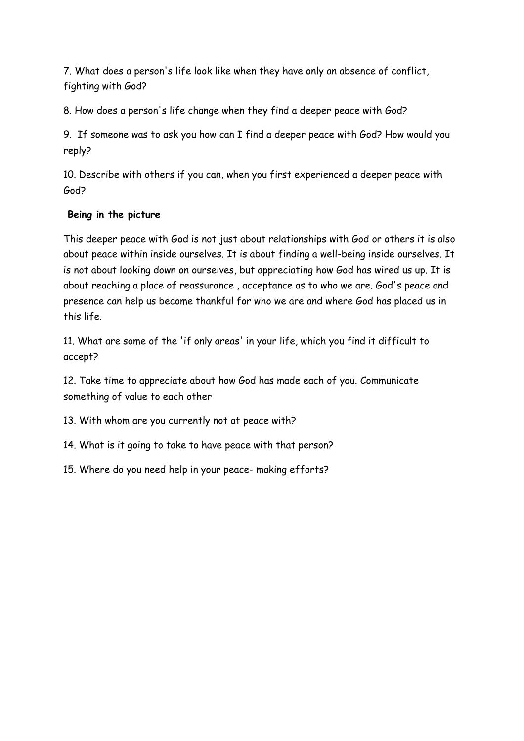7. What does a person's life look like when they have only an absence of conflict, fighting with God?

8. How does a person's life change when they find a deeper peace with God?

9. If someone was to ask you how can I find a deeper peace with God? How would you reply?

10. Describe with others if you can, when you first experienced a deeper peace with God?

# **Being in the picture**

This deeper peace with God is not just about relationships with God or others it is also about peace within inside ourselves. It is about finding a well-being inside ourselves. It is not about looking down on ourselves, but appreciating how God has wired us up. It is about reaching a place of reassurance , acceptance as to who we are. God's peace and presence can help us become thankful for who we are and where God has placed us in this life.

11. What are some of the 'if only areas' in your life, which you find it difficult to accept?

12. Take time to appreciate about how God has made each of you. Communicate something of value to each other

13. With whom are you currently not at peace with?

14. What is it going to take to have peace with that person?

15. Where do you need help in your peace- making efforts?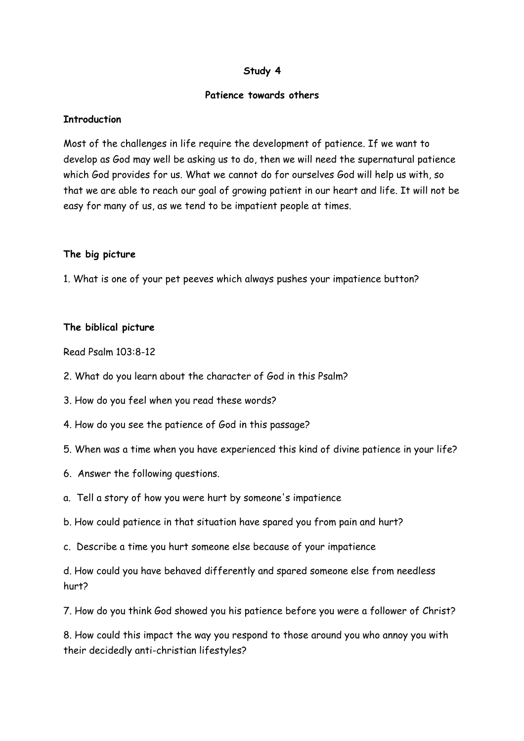#### **Patience towards others**

### **Introduction**

Most of the challenges in life require the development of patience. If we want to develop as God may well be asking us to do, then we will need the supernatural patience which God provides for us. What we cannot do for ourselves God will help us with, so that we are able to reach our goal of growing patient in our heart and life. It will not be easy for many of us, as we tend to be impatient people at times.

# **The big picture**

1. What is one of your pet peeves which always pushes your impatience button?

# **The biblical picture**

Read Psalm 103:8-12

- 2. What do you learn about the character of God in this Psalm?
- 3. How do you feel when you read these words?
- 4. How do you see the patience of God in this passage?
- 5. When was a time when you have experienced this kind of divine patience in your life?
- 6. Answer the following questions.
- a. Tell a story of how you were hurt by someone's impatience
- b. How could patience in that situation have spared you from pain and hurt?
- c. Describe a time you hurt someone else because of your impatience

d. How could you have behaved differently and spared someone else from needless hurt?

7. How do you think God showed you his patience before you were a follower of Christ?

8. How could this impact the way you respond to those around you who annoy you with their decidedly anti-christian lifestyles?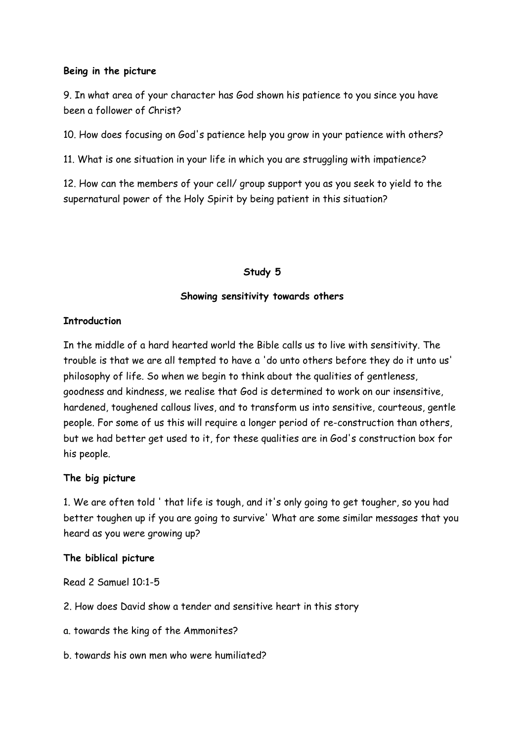#### **Being in the picture**

9. In what area of your character has God shown his patience to you since you have been a follower of Christ?

10. How does focusing on God's patience help you grow in your patience with others?

11. What is one situation in your life in which you are struggling with impatience?

12. How can the members of your cell/ group support you as you seek to yield to the supernatural power of the Holy Spirit by being patient in this situation?

### **Study 5**

#### **Showing sensitivity towards others**

#### **Introduction**

In the middle of a hard hearted world the Bible calls us to live with sensitivity. The trouble is that we are all tempted to have a 'do unto others before they do it unto us' philosophy of life. So when we begin to think about the qualities of gentleness, goodness and kindness, we realise that God is determined to work on our insensitive, hardened, toughened callous lives, and to transform us into sensitive, courteous, gentle people. For some of us this will require a longer period of re-construction than others, but we had better get used to it, for these qualities are in God's construction box for his people.

### **The big picture**

1. We are often told ' that life is tough, and it's only going to get tougher, so you had better toughen up if you are going to survive' What are some similar messages that you heard as you were growing up?

#### **The biblical picture**

Read 2 Samuel 10:1-5

- 2. How does David show a tender and sensitive heart in this story
- a. towards the king of the Ammonites?
- b. towards his own men who were humiliated?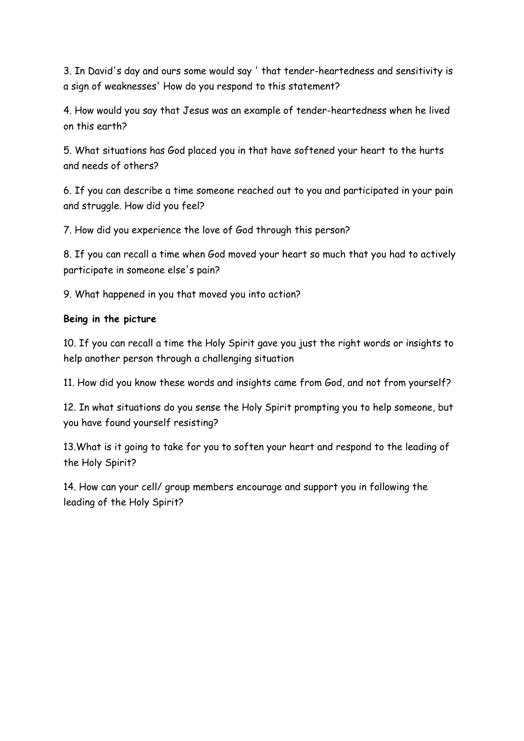3. In David's day and ours some would say ' that tender-heartedness and sensitivity is a sign of weaknesses' How do you respond to this statement?

4. How would you say that Jesus was an example of tender-heartedness when he lived on this earth?

5. What situations has God placed you in that have softened your heart to the hurts and needs of others?

6. If you can describe a time someone reached out to you and participated in your pain and struggle. How did you feel?

7. How did you experience the love of God through this person?

8. If you can recall a time when God moved your heart so much that you had to actively participate in someone else's pain?

9. What happened in you that moved you into action?

# **Being in the picture**

10. If you can recall a time the Holy Spirit gave you just the right words or insights to help another person through a challenging situation

11. How did you know these words and insights came from God, and not from yourself?

12. In what situations do you sense the Holy Spirit prompting you to help someone, but you have found yourself resisting?

13.What is it going to take for you to soften your heart and respond to the leading of the Holy Spirit?

14. How can your cell/ group members encourage and support you in following the leading of the Holy Spirit?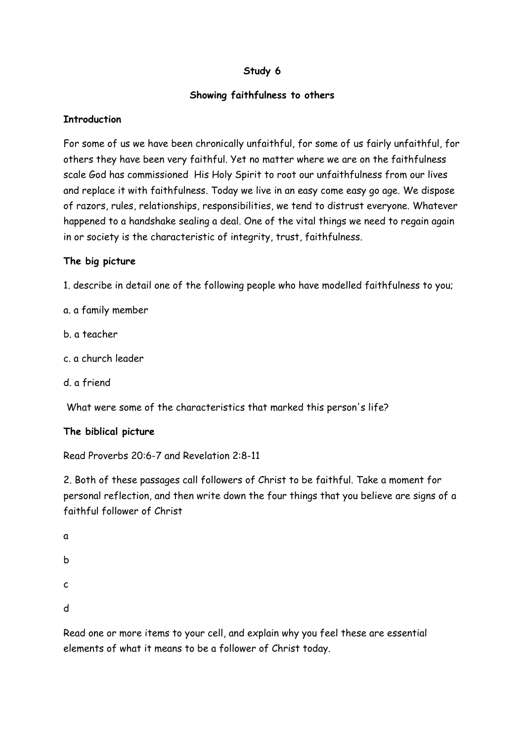# **Showing faithfulness to others**

### **Introduction**

For some of us we have been chronically unfaithful, for some of us fairly unfaithful, for others they have been very faithful. Yet no matter where we are on the faithfulness scale God has commissioned His Holy Spirit to root our unfaithfulness from our lives and replace it with faithfulness. Today we live in an easy come easy go age. We dispose of razors, rules, relationships, responsibilities, we tend to distrust everyone. Whatever happened to a handshake sealing a deal. One of the vital things we need to regain again in or society is the characteristic of integrity, trust, faithfulness.

# **The big picture**

1. describe in detail one of the following people who have modelled faithfulness to you;

a. a family member

- b. a teacher
- c. a church leader
- d. a friend

What were some of the characteristics that marked this person's life?

# **The biblical picture**

Read Proverbs 20:6-7 and Revelation 2:8-11

2. Both of these passages call followers of Christ to be faithful. Take a moment for personal reflection, and then write down the four things that you believe are signs of a faithful follower of Christ

a b c d

Read one or more items to your cell, and explain why you feel these are essential elements of what it means to be a follower of Christ today.